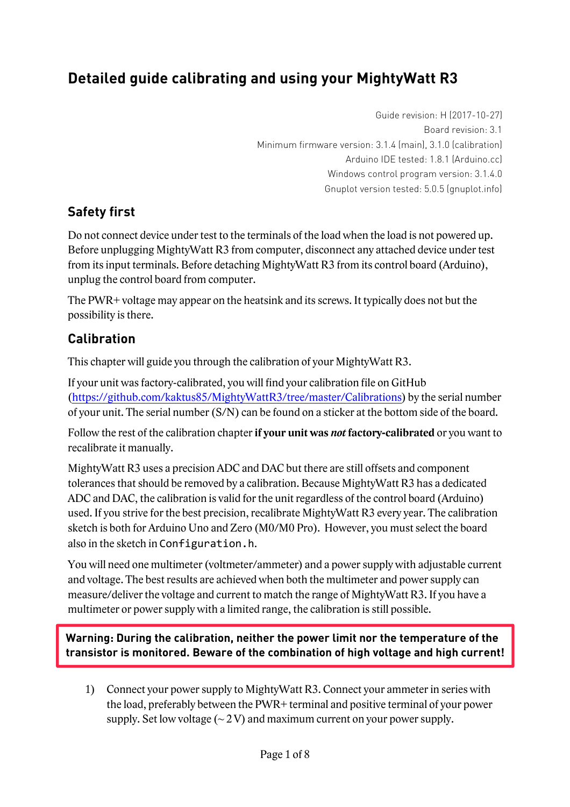# **Detailed guide calibrating and using your MightyWatt R3**

Guide revision: H (2017-10-27) Board revision: 3.1 Minimum firmware version: 3.1.4 (main), 3.1.0 (calibration) Arduino IDE tested: 1.8.1 (Arduino.cc) Windows control program version: 3.1.4.0 Gnuplot version tested: 5.0.5 (gnuplot.info)

## **Safety first**

Do not connect device under test to the terminals of the load when the load is not powered up. Before unplugging MightyWatt R3 from computer, disconnect any attached device under test from its input terminals. Before detaching MightyWatt R3 from its control board (Arduino), unplug the control board from computer.

The PWR+ voltage may appear on the heatsink and its screws. It typically does not but the possibility is there.

## **Calibration**

This chapter will guide you through the calibration of your MightyWatt R3.

If your unit was factory-calibrated, you will find your calibration file on GitHub (https://github.com/kaktus85/MightyWattR3/tree/master/Calibrations) by the serial number of your unit. The serial number (S/N) can be found on a sticker at the bottom side of the board.

Follow the rest of the calibration chapter **if your unit was** *not* **factory-calibrated** or you want to recalibrate it manually.

MightyWatt R3 uses a precision ADC and DAC but there are still offsets and component tolerances that should be removed by a calibration. Because MightyWatt R3 has a dedicated ADC and DAC, the calibration is valid for the unit regardless of the control board (Arduino) used. If you strive for the best precision, recalibrate MightyWatt R3 every year. The calibration sketch is both for Arduino Uno and Zero (M0/M0 Pro). However, you must select the board also in the sketch in Configuration.h.

You will need one multimeter (voltmeter/ammeter) and a power supply with adjustable current and voltage. The best results are achieved when both the multimeter and power supply can measure/deliver the voltage and current to match the range of MightyWatt R3. If you have a multimeter or power supply with a limited range, the calibration is still possible.

**Warning: During the calibration, neither the power limit nor the temperature of the transistor is monitored. Beware of the combination of high voltage and high current!**

1) Connect your power supply to MightyWatt R3. Connect your ammeter in series with the load, preferably between the PWR+ terminal and positive terminal of your power supply. Set low voltage  $\left(\sim 2 \,\mathrm{V}\right)$  and maximum current on your power supply.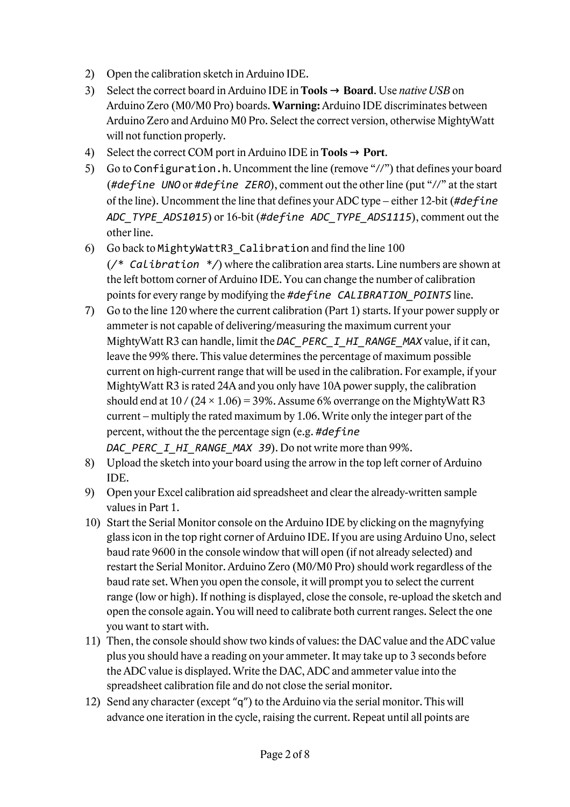- 2) Open the calibration sketch in Arduino IDE.
- 3) Select the correct board in Arduino IDE in **Tools** → **Board**. Use *native USB* on Arduino Zero (M0/M0 Pro) boards. **Warning:** Arduino IDE discriminates between Arduino Zero and Arduino M0 Pro. Select the correct version, otherwise MightyWatt will not function properly.
- 4) Select the correct COM port in Arduino IDE in **Tools**  $\rightarrow$  **Port**.
- 5) Go to Configuration.h. Uncomment the line (remove "//") that defines your board (*#define UNO* or *#define ZERO*), comment out the other line (put "//" at the start of the line). Uncomment the line that defines your ADC type – either 12-bit (*#define ADC\_TYPE\_ADS1015*) or 16-bit (*#define ADC\_TYPE\_ADS1115*), comment out the other line.
- 6) Go back to MightyWattR3\_Calibration and find the line 100 (*/\* Calibration \*/*) where the calibration area starts. Line numbers are shown at the left bottom corner of Arduino IDE. You can change the number of calibration points for every range by modifying the *#define CALIBRATION\_POINTS* line.
- 7) Go to the line 120 where the current calibration (Part 1) starts. If your power supply or ammeter is not capable of delivering/measuring the maximum current your MightyWatt R3 can handle, limit the *DAC\_PERC\_I\_HI\_RANGE\_MAX* value, if it can, leave the 99% there. This value determines the percentage of maximum possible current on high-current range that will be used in the calibration. For example, if your MightyWatt R3 is rated 24A and you only have 10A power supply, the calibration should end at  $10 / (24 \times 1.06) = 39\%$ . Assume 6% overrange on the MightyWatt R3 current – multiply the rated maximum by 1.06. Write only the integer part of the percent, without the the percentage sign (e.g. *#define DAC\_PERC\_I\_HI\_RANGE\_MAX 39*). Do not write more than 99%.
- 8) Upload the sketch into your board using the arrow in the top left corner of Arduino IDE.
- 9) Open your Excel calibration aid spreadsheet and clear the already-written sample values in Part 1.
- 10) Start the Serial Monitor console on the Arduino IDE by clicking on the magnyfying glass icon in the top right corner of Arduino IDE. If you are using Arduino Uno, select baud rate 9600 in the console window that will open (if not already selected) and restart the Serial Monitor. Arduino Zero (M0/M0 Pro) should work regardless of the baud rate set. When you open the console, it will prompt you to select the current range (low or high). If nothing is displayed, close the console, re-upload the sketch and open the console again. You will need to calibrate both current ranges. Select the one you want to start with.
- 11) Then, the console should show two kinds of values: the DAC value and the ADC value plus you should have a reading on your ammeter. It may take up to 3 seconds before the ADC value is displayed. Write the DAC, ADC and ammeter value into the spreadsheet calibration file and do not close the serial monitor.
- 12) Send any character (except "q") to the Arduino via the serial monitor. This will advance one iteration in the cycle, raising the current. Repeat until all points are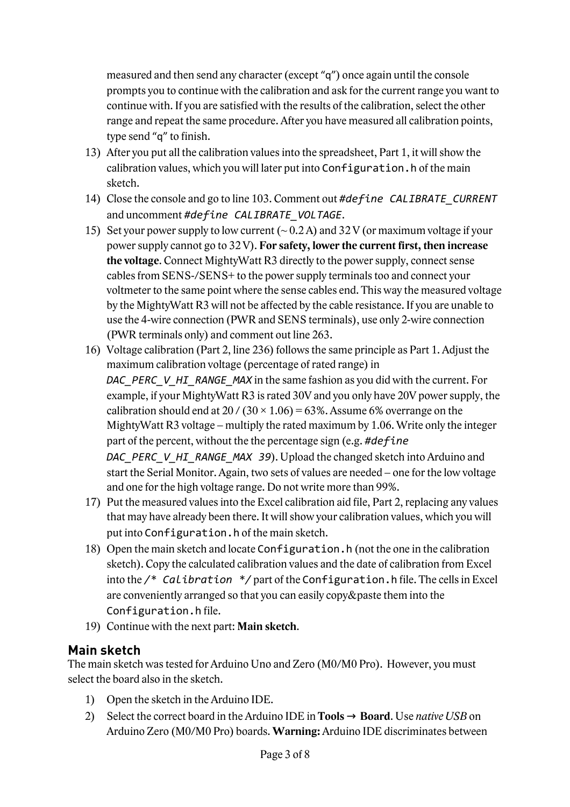measured and then send any character (except "q") once again until the console prompts you to continue with the calibration and ask for the current range you want to continue with. If you are satisfied with the results of the calibration, select the other range and repeat the same procedure. After you have measured all calibration points, type send "q" to finish.

- 13) After you put all the calibration values into the spreadsheet, Part 1, it will show the calibration values, which you will later put into Configuration.h of the main sketch.
- 14) Close the console and go to line 103. Comment out *#define CALIBRATE\_CURRENT* and uncomment *#define CALIBRATE\_VOLTAGE*.
- 15) Set your power supply to low current  $(-0.2 \text{ A})$  and 32 V (or maximum voltage if your power supply cannot go to 32 V). **For safety, lower the current first, then increase the voltage**. Connect MightyWatt R3 directly to the power supply, connect sense cables from SENS-/SENS+ to the power supply terminals too and connect your voltmeter to the same point where the sense cables end. This way the measured voltage by the MightyWatt R3 will not be affected by the cable resistance. If you are unable to use the 4-wire connection (PWR and SENS terminals), use only 2-wire connection (PWR terminals only) and comment out line 263.
- 16) Voltage calibration (Part 2, line 236) follows the same principle as Part 1. Adjust the maximum calibration voltage (percentage of rated range) in *DAC\_PERC\_V\_HI\_RANGE\_MAX* in the same fashion as you did with the current. For example, if your MightyWatt R3 is rated 30V and you only have 20V power supply, the calibration should end at 20 / (30  $\times$  1.06) = 63%. Assume 6% overrange on the MightyWatt R3 voltage – multiply the rated maximum by 1.06. Write only the integer part of the percent, without the the percentage sign (e.g. *#define DAC\_PERC\_V\_HI\_RANGE\_MAX 39*). Upload the changed sketch into Arduino and start the Serial Monitor. Again, two sets of values are needed – one for the low voltage and one for the high voltage range. Do not write more than 99%.
- 17) Put the measured values into the Excel calibration aid file, Part 2, replacing any values that may have already been there. It will show your calibration values, which you will put into Configuration.h of the main sketch.
- 18) Open the main sketch and locate Configuration.h (not the one in the calibration sketch). Copy the calculated calibration values and the date of calibration from Excel into the */\* Calibration \*/* part of the Configuration.h file. The cells in Excel are conveniently arranged so that you can easily copy&paste them into the Configuration.h file.
- 19) Continue with the next part: **Main sketch**.

#### **Main sketch**

The main sketch was tested for Arduino Uno and Zero (M0/M0 Pro). However, you must select the board also in the sketch.

- 1) Open the sketch in the Arduino IDE.
- 2) Select the correct board in the Arduino IDE in **Tools** → **Board**. Use *native USB* on Arduino Zero (M0/M0 Pro) boards. **Warning:** Arduino IDE discriminates between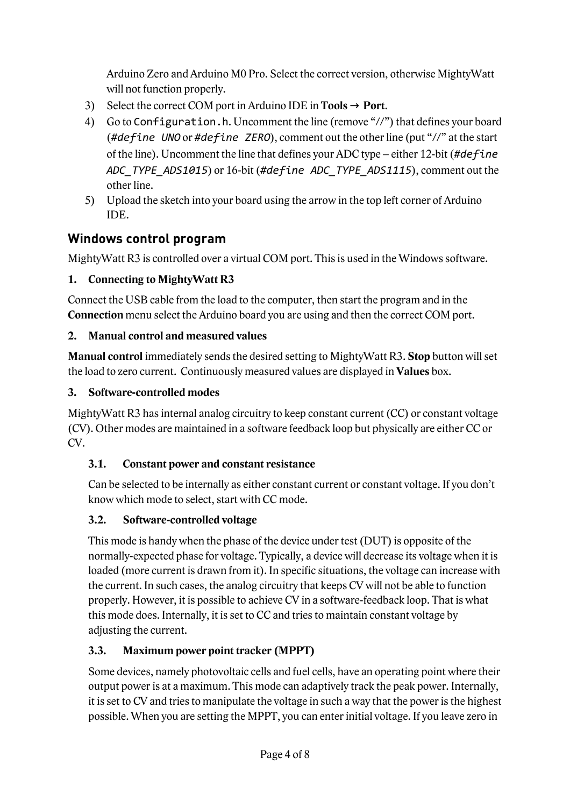Arduino Zero and Arduino M0 Pro. Select the correct version, otherwise MightyWatt will not function properly.

- 3) Select the correct COM port in Arduino IDE in **Tools**  $\rightarrow$  **Port**.
- 4) Go to Configuration.h. Uncomment the line (remove "//") that defines your board (*#define UNO* or *#define ZERO*), comment out the other line (put "//" at the start of the line). Uncomment the line that defines your ADC type – either 12-bit (*#define ADC\_TYPE\_ADS1015*) or 16-bit (*#define ADC\_TYPE\_ADS1115*), comment out the other line.
- 5) Upload the sketch into your board using the arrow in the top left corner of Arduino IDE.

## **Windows control program**

MightyWatt R3 is controlled over a virtual COM port. This is used in the Windows software.

### **1. Connecting to MightyWatt R3**

Connect the USB cable from the load to the computer, then start the program and in the **Connection** menu select the Arduino board you are using and then the correct COM port.

### **2. Manual control and measured values**

**Manual control** immediately sends the desired setting to MightyWatt R3. **Stop** button will set the load to zero current. Continuously measured values are displayed in **Values** box.

## **3. Software-controlled modes**

MightyWatt R3 has internal analog circuitry to keep constant current (CC) or constant voltage (CV). Other modes are maintained in a software feedback loop but physically are either CC or CV.

## **3.1. Constant power and constant resistance**

Can be selected to be internally as either constant current or constant voltage. If you don't know which mode to select, start with CC mode.

## **3.2. Software-controlled voltage**

This mode is handy when the phase of the device under test (DUT) is opposite of the normally-expected phase for voltage. Typically, a device will decrease its voltage when it is loaded (more current is drawn from it). In specific situations, the voltage can increase with the current. In such cases, the analog circuitry that keeps CV will not be able to function properly. However, it is possible to achieve CV in a software-feedback loop. That is what this mode does. Internally, it is set to CC and tries to maintain constant voltage by adjusting the current.

## **3.3. Maximum power point tracker (MPPT)**

Some devices, namely photovoltaic cells and fuel cells, have an operating point where their output power is at a maximum. This mode can adaptively track the peak power. Internally, it is set to CV and tries to manipulate the voltage in such a way that the power is the highest possible. When you are setting the MPPT, you can enter initial voltage. If you leave zero in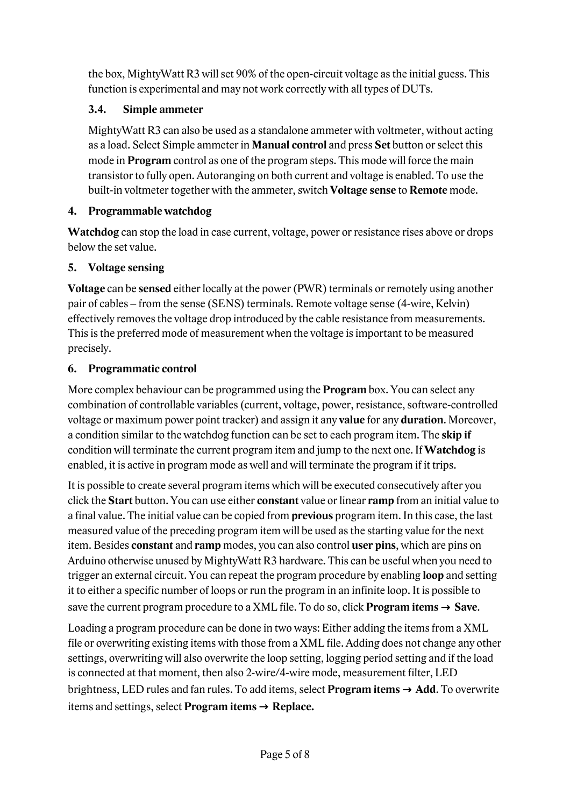the box, MightyWatt R3 will set 90% of the open-circuit voltage as the initial guess. This function is experimental and may not work correctly with all types of DUTs.

#### **3.4. Simple ammeter**

MightyWatt R3 can also be used as a standalone ammeter with voltmeter, without acting as a load. Select Simple ammeter in **Manual control** and press **Set** button or select this mode in **Program** control as one of the program steps. This mode will force the main transistor to fully open. Autoranging on both current and voltage is enabled. To use the built-in voltmeter together with the ammeter, switch **Voltage sense** to **Remote** mode.

#### **4. Programmable watchdog**

**Watchdog** can stop the load in case current, voltage, power or resistance rises above or drops below the set value.

#### **5. Voltage sensing**

**Voltage** can be **sensed** either locally at the power (PWR) terminals or remotely using another pair of cables – from the sense (SENS) terminals. Remote voltage sense (4-wire, Kelvin) effectively removes the voltage drop introduced by the cable resistance from measurements. This is the preferred mode of measurement when the voltage is important to be measured precisely.

### **6. Programmatic control**

More complex behaviour can be programmed using the **Program** box. You can select any combination of controllable variables (current, voltage, power, resistance, software-controlled voltage or maximum power point tracker) and assign it any **value** for any **duration**. Moreover, a condition similar to the watchdog function can be set to each program item. The **skip if** condition will terminate the current program item and jump to the next one. If **Watchdog** is enabled, it is active in program mode as well and will terminate the program if it trips.

It is possible to create several program items which will be executed consecutively after you click the **Start** button. You can use either **constant** value or linear **ramp** from an initial value to a final value. The initial value can be copied from **previous** program item. In this case, the last measured value of the preceding program item will be used as the starting value for the next item. Besides **constant** and **ramp** modes, you can also control **user pins**, which are pins on Arduino otherwise unused by MightyWatt R3 hardware. This can be useful when you need to trigger an external circuit. You can repeat the program procedure by enabling **loop** and setting it to either a specific number of loops or run the program in an infinite loop. It is possible to save the current program procedure to a XML file. To do so, click **Program items** → **Save**.

Loading a program procedure can be done in two ways: Either adding the items from a XML file or overwriting existing items with those from a XML file. Adding does not change any other settings, overwriting will also overwrite the loop setting, logging period setting and if the load is connected at that moment, then also 2-wire/4-wire mode, measurement filter, LED brightness, LED rules and fan rules. To add items, select **Program items** → **Add**. To overwrite items and settings, select **Program items** → **Replace.**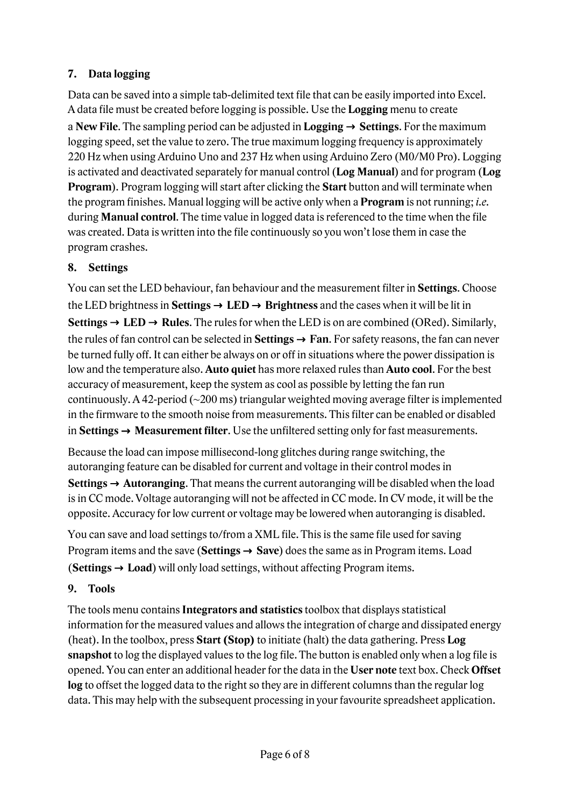#### **7. Data logging**

Data can be saved into a simple tab-delimited text file that can be easily imported into Excel. A data file must be created before logging is possible. Use the **Logging** menu to create a **New File**. The sampling period can be adjusted in **Logging** → **Settings**. For the maximum logging speed, set the value to zero. The true maximum logging frequency is approximately 220 Hz when using Arduino Uno and 237 Hz when using Arduino Zero (M0/M0 Pro). Logging is activated and deactivated separately for manual control (**Log Manual**) and for program (**Log Program**). Program logging will start after clicking the **Start** button and will terminate when the program finishes. Manual logging will be active only when a **Program** is not running; *i.e.* during **Manual control**. The time value in logged data is referenced to the time when the file was created. Data is written into the file continuously so you won't lose them in case the program crashes.

#### **8. Settings**

You can set the LED behaviour, fan behaviour and the measurement filter in **Settings**. Choose the LED brightness in **Settings**  $\rightarrow$  **LED**  $\rightarrow$  **Brightness** and the cases when it will be lit in **Settings** → **LED** → **Rules**. The rules for when the LED is on are combined (ORed). Similarly, the rules of fan control can be selected in **Settings** → **Fan**. For safety reasons, the fan can never be turned fully off. It can either be always on or off in situations where the power dissipation is low and the temperature also. **Auto quiet** has more relaxed rules than **Auto cool**. For the best accuracy of measurement, keep the system as cool as possible by letting the fan run continuously. A 42-period (~200 ms) triangular weighted moving average filter is implemented in the firmware to the smooth noise from measurements. This filter can be enabled or disabled in **Settings** → **Measurement filter**. Use the unfiltered setting only for fast measurements.

Because the load can impose millisecond-long glitches during range switching, the autoranging feature can be disabled for current and voltage in their control modes in **Settings** → **Autoranging**. That means the current autoranging will be disabled when the load is in CC mode. Voltage autoranging will not be affected in CC mode. In CV mode, it will be the opposite. Accuracy for low current or voltage may be lowered when autoranging is disabled.

You can save and load settings to/from a XML file. This is the same file used for saving Program items and the save (**Settings** → **Save**) does the same as in Program items. Load (**Settings** → **Load**) will only load settings, without affecting Program items.

#### **9. Tools**

The tools menu contains **Integrators and statistics** toolbox that displays statistical information for the measured values and allows the integration of charge and dissipated energy (heat). In the toolbox, press **Start (Stop)** to initiate (halt) the data gathering. Press **Log snapshot** to log the displayed values to the log file. The button is enabled only when a log file is opened. You can enter an additional header for the data in the **User note** text box. Check **Offset log** to offset the logged data to the right so they are in different columns than the regular log data. This may help with the subsequent processing in your favourite spreadsheet application.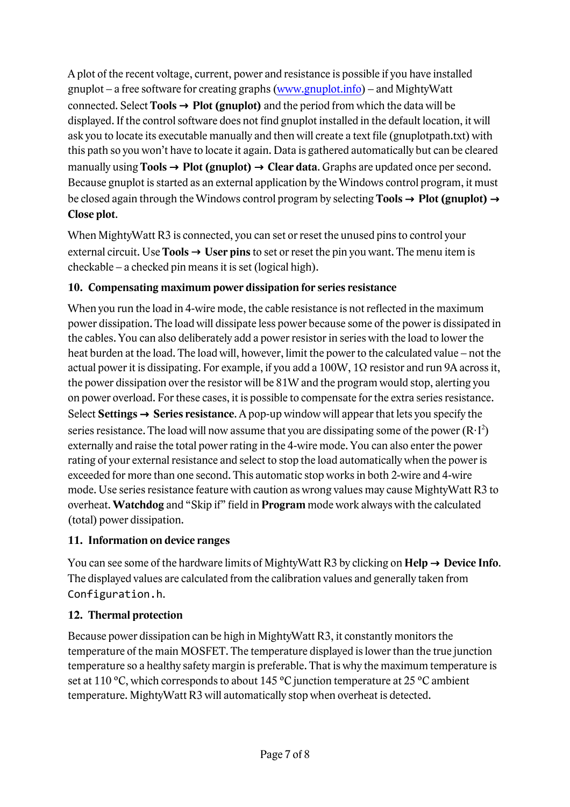A plot of the recent voltage, current, power and resistance is possible if you have installed gnuplot – a free software for creating graphs (www.gnuplot.info) – and MightyWatt connected. Select **Tools** → **Plot (gnuplot)** and the period from which the data will be displayed. If the control software does not find gnuplot installed in the default location, it will ask you to locate its executable manually and then will create a text file (gnuplotpath.txt) with this path so you won't have to locate it again. Data is gathered automatically but can be cleared manually using **Tools** → **Plot (gnuplot)** → **Clear data**. Graphs are updated once per second. Because gnuplot is started as an external application by the Windows control program, it must be closed again through the Windows control program by selecting **Tools** → **Plot (gnuplot)** → **Close plot**.

When MightyWatt R3 is connected, you can set or reset the unused pins to control your external circuit. Use **Tools** → **User pins** to set or reset the pin you want. The menu item is checkable – a checked pin means it is set (logical high).

#### **10. Compensating maximum power dissipation for series resistance**

When you run the load in 4-wire mode, the cable resistance is not reflected in the maximum power dissipation. The load will dissipate less power because some of the power is dissipated in the cables. You can also deliberately add a power resistor in series with the load to lower the heat burden at the load. The load will, however, limit the power to the calculated value – not the actual power it is dissipating. For example, if you add a 100W, 1Ω resistor and run 9A across it, the power dissipation over the resistor will be 81W and the program would stop, alerting you on power overload. For these cases, it is possible to compensate for the extra series resistance. Select **Settings** → **Series resistance**. A pop-up window will appear that lets you specify the series resistance. The load will now assume that you are dissipating some of the power  $(R \cdot I^2)$ externally and raise the total power rating in the 4-wire mode. You can also enter the power rating of your external resistance and select to stop the load automatically when the power is exceeded for more than one second. This automatic stop works in both 2-wire and 4-wire mode. Use series resistance feature with caution as wrong values may cause MightyWatt R3 to overheat. **Watchdog** and "Skip if" field in **Program** mode work always with the calculated (total) power dissipation.

#### **11. Information on device ranges**

You can see some of the hardware limits of MightyWatt R3 by clicking on  $\text{Help} \rightarrow \text{Device Info}$ . The displayed values are calculated from the calibration values and generally taken from Configuration.h.

#### **12. Thermal protection**

Because power dissipation can be high in MightyWatt R3, it constantly monitors the temperature of the main MOSFET. The temperature displayed is lower than the true junction temperature so a healthy safety margin is preferable. That is why the maximum temperature is set at 110 °C, which corresponds to about 145 °C junction temperature at 25 °C ambient temperature. MightyWatt R3 will automatically stop when overheat is detected.